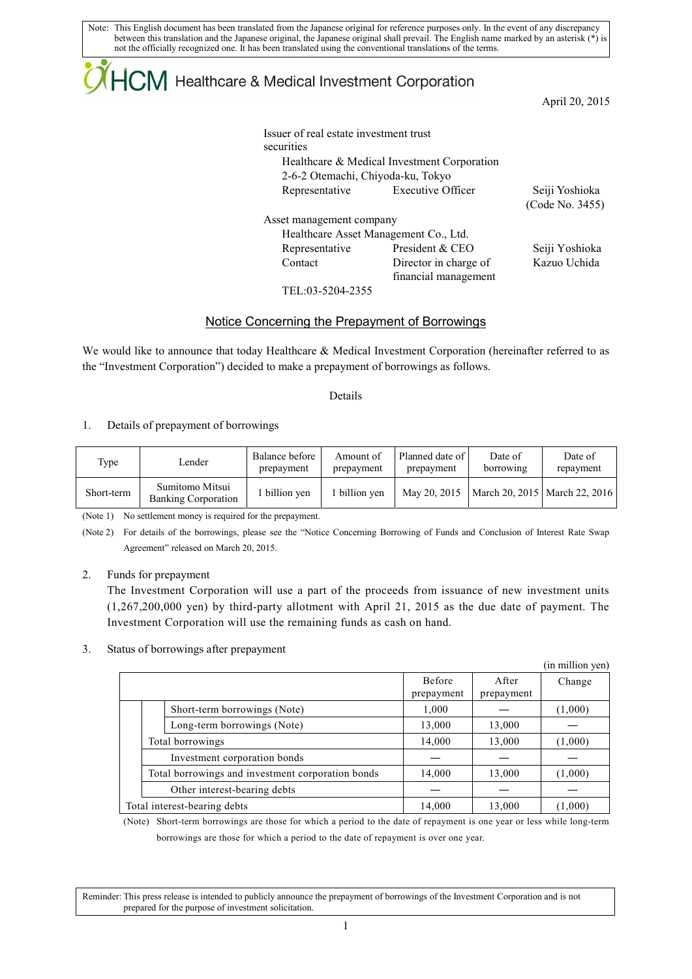Note: This English document has been translated from the Japanese original for reference purposes only. In the event of any discrepancy between this translation and the Japanese original, the Japanese original shall prevail. The English name marked by an asterisk (\*) is not the officially recognized one. It has been translated using the conventional translations of the terms.

## ICM Healthcare & Medical Investment Corporation

April 20, 2015

| Issuer of real estate investment trust |                                               |                 |
|----------------------------------------|-----------------------------------------------|-----------------|
| securities                             |                                               |                 |
|                                        | Healthcare & Medical Investment Corporation   |                 |
| 2-6-2 Otemachi, Chiyoda-ku, Tokyo      |                                               |                 |
| Representative                         | <b>Executive Officer</b>                      | Seiji Yoshioka  |
|                                        |                                               | (Code No. 3455) |
| Asset management company               |                                               |                 |
|                                        | Healthcare Asset Management Co., Ltd.         |                 |
| Representative                         | President & CEO                               | Seiji Yoshioka  |
| Contact                                | Director in charge of<br>financial management | Kazuo Uchida    |
|                                        |                                               |                 |

TEL:03-5204-2355

## Notice Concerning the Prepayment of Borrowings

We would like to announce that today Healthcare & Medical Investment Corporation (hereinafter referred to as the "Investment Corporation") decided to make a prepayment of borrowings as follows.

Details

1. Details of prepayment of borrowings

| Type       | Lender                                        | Balance before<br>prepayment | Amount of<br>prepayment | Planned date of<br>prepayment | Date of<br>borrowing            | Date of<br>repayment |
|------------|-----------------------------------------------|------------------------------|-------------------------|-------------------------------|---------------------------------|----------------------|
| Short-term | Sumitomo Mitsui<br><b>Banking Corporation</b> | 1 billion ven                | billion ven             | May 20, 2015                  | March 20, 2015   March 22, 2016 |                      |

(Note 1) No settlement money is required for the prepayment.

(Note 2) For details of the borrowings, please see the "Notice Concerning Borrowing of Funds and Conclusion of Interest Rate Swap Agreement" released on March 20, 2015.

2. Funds for prepayment

The Investment Corporation will use a part of the proceeds from issuance of new investment units (1,267,200,000 yen) by third-party allotment with April 21, 2015 as the due date of payment. The Investment Corporation will use the remaining funds as cash on hand.

## 3. Status of borrowings after prepayment

|                                                   |               |            | (in million yen) |
|---------------------------------------------------|---------------|------------|------------------|
|                                                   | <b>Before</b> | After      | Change           |
|                                                   | prepayment    | prepayment |                  |
| Short-term borrowings (Note)                      | 1,000         |            | (1,000)          |
| Long-term borrowings (Note)                       | 13,000        | 13,000     |                  |
| Total borrowings                                  |               | 13,000     | (1,000)          |
| Investment corporation bonds                      |               |            |                  |
| Total borrowings and investment corporation bonds | 14,000        | 13,000     | (1,000)          |
| Other interest-bearing debts                      |               |            |                  |
| Total interest-bearing debts                      | 14,000        | 13,000     | (1,000)          |

(Note) Short-term borrowings are those for which a period to the date of repayment is one year or less while long-term borrowings are those for which a period to the date of repayment is over one year.

Reminder: This press release is intended to publicly announce the prepayment of borrowings of the Investment Corporation and is not prepared for the purpose of investment solicitation.